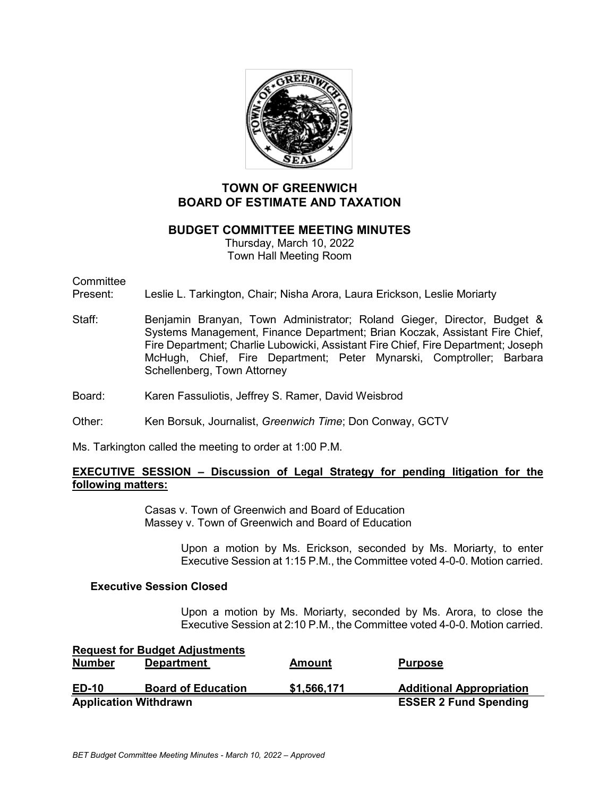

# **TOWN OF GREENWICH BOARD OF ESTIMATE AND TAXATION**

## **BUDGET COMMITTEE MEETING MINUTES**

Thursday, March 10, 2022 Town Hall Meeting Room

Committee<br>Present:

- Leslie L. Tarkington, Chair; Nisha Arora, Laura Erickson, Leslie Moriarty
- Staff: Benjamin Branyan, Town Administrator; Roland Gieger, Director, Budget & Systems Management, Finance Department; Brian Koczak, Assistant Fire Chief, Fire Department; Charlie Lubowicki, Assistant Fire Chief, Fire Department; Joseph McHugh, Chief, Fire Department; Peter Mynarski, Comptroller; Barbara Schellenberg, Town Attorney
- Board: Karen Fassuliotis, Jeffrey S. Ramer, David Weisbrod
- Other: Ken Borsuk, Journalist, *Greenwich Time*; Don Conway, GCTV

Ms. Tarkington called the meeting to order at 1:00 P.M.

## **EXECUTIVE SESSION – Discussion of Legal Strategy for pending litigation for the following matters:**

Casas v. Town of Greenwich and Board of Education Massey v. Town of Greenwich and Board of Education

> Upon a motion by Ms. Erickson, seconded by Ms. Moriarty, to enter Executive Session at 1:15 P.M., the Committee voted 4-0-0. Motion carried.

#### **Executive Session Closed**

Upon a motion by Ms. Moriarty, seconded by Ms. Arora, to close the Executive Session at 2:10 P.M., the Committee voted 4-0-0. Motion carried.

|               | <b>Request for Budget Adjustments</b> |                              |                                 |
|---------------|---------------------------------------|------------------------------|---------------------------------|
| <b>Number</b> | <b>Department</b>                     | Amount                       | <b>Purpose</b>                  |
|               |                                       |                              |                                 |
| <b>ED-10</b>  | <b>Board of Education</b>             | \$1,566,171                  | <b>Additional Appropriation</b> |
|               | <b>Application Withdrawn</b>          | <b>ESSER 2 Fund Spending</b> |                                 |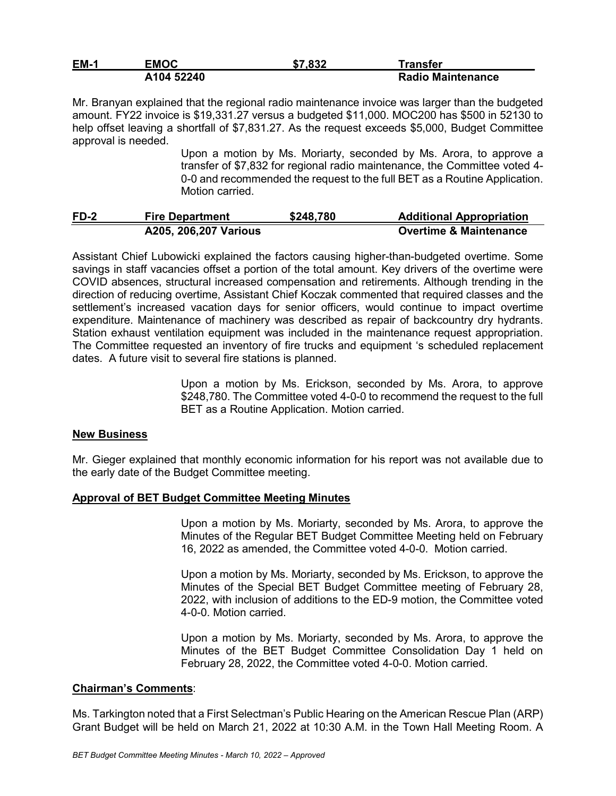| <b>EM-1</b> | EMOC       | \$7,832 | Transfer                 |
|-------------|------------|---------|--------------------------|
|             | A104 52240 |         | <b>Radio Maintenance</b> |

Mr. Branyan explained that the regional radio maintenance invoice was larger than the budgeted amount. FY22 invoice is \$19,331.27 versus a budgeted \$11,000. MOC200 has \$500 in 52130 to help offset leaving a shortfall of \$7,831.27. As the request exceeds \$5,000, Budget Committee approval is needed.

> Upon a motion by Ms. Moriarty, seconded by Ms. Arora, to approve a transfer of \$7,832 for regional radio maintenance, the Committee voted 4- 0-0 and recommended the request to the full BET as a Routine Application. Motion carried.

| $FD-2$ | <b>Fire Department</b>        | \$248,780 | <b>Additional Appropriation</b>   |
|--------|-------------------------------|-----------|-----------------------------------|
|        | <b>A205, 206, 207 Various</b> |           | <b>Overtime &amp; Maintenance</b> |

Assistant Chief Lubowicki explained the factors causing higher-than-budgeted overtime. Some savings in staff vacancies offset a portion of the total amount. Key drivers of the overtime were COVID absences, structural increased compensation and retirements. Although trending in the direction of reducing overtime, Assistant Chief Koczak commented that required classes and the settlement's increased vacation days for senior officers, would continue to impact overtime expenditure. Maintenance of machinery was described as repair of backcountry dry hydrants. Station exhaust ventilation equipment was included in the maintenance request appropriation. The Committee requested an inventory of fire trucks and equipment 's scheduled replacement dates. A future visit to several fire stations is planned.

> Upon a motion by Ms. Erickson, seconded by Ms. Arora, to approve \$248,780. The Committee voted 4-0-0 to recommend the request to the full BET as a Routine Application. Motion carried.

## **New Business**

Mr. Gieger explained that monthly economic information for his report was not available due to the early date of the Budget Committee meeting.

#### **Approval of BET Budget Committee Meeting Minutes**

Upon a motion by Ms. Moriarty, seconded by Ms. Arora, to approve the Minutes of the Regular BET Budget Committee Meeting held on February 16, 2022 as amended, the Committee voted 4-0-0. Motion carried.

Upon a motion by Ms. Moriarty, seconded by Ms. Erickson, to approve the Minutes of the Special BET Budget Committee meeting of February 28, 2022, with inclusion of additions to the ED-9 motion, the Committee voted 4-0-0. Motion carried.

Upon a motion by Ms. Moriarty, seconded by Ms. Arora, to approve the Minutes of the BET Budget Committee Consolidation Day 1 held on February 28, 2022, the Committee voted 4-0-0. Motion carried.

#### **Chairman's Comments**:

Ms. Tarkington noted that a First Selectman's Public Hearing on the American Rescue Plan (ARP) Grant Budget will be held on March 21, 2022 at 10:30 A.M. in the Town Hall Meeting Room. A